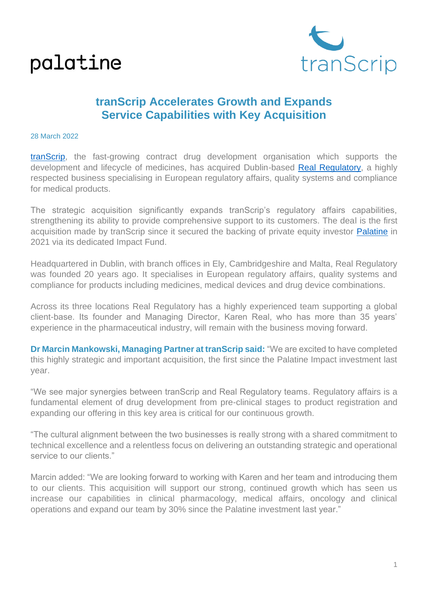### palatine



### **tranScrip Accelerates Growth and Expands Service Capabilities with Key Acquisition**

#### 28 March 2022

[tranScrip,](https://www.transcrip-partners.com/) the fast-growing contract drug development organisation which supports the development and lifecycle of medicines, has acquired Dublin-based [Real Regulatory,](https://www.realregulatory.com/) a highly respected business specialising in European regulatory affairs, quality systems and compliance for medical products.

The strategic acquisition significantly expands tranScrip's regulatory affairs capabilities, strengthening its ability to provide comprehensive support to its customers. The deal is the first acquisition made by tranScrip since it secured the backing of private equity investor [Palatine](https://www.palatinepe.com/) in 2021 via its dedicated Impact Fund.

Headquartered in Dublin, with branch offices in Ely, Cambridgeshire and Malta, Real Regulatory was founded 20 years ago. It specialises in European regulatory affairs, quality systems and compliance for products including medicines, medical devices and drug device combinations.

Across its three locations Real Regulatory has a highly experienced team supporting a global client-base. Its founder and Managing Director, Karen Real, who has more than 35 years' experience in the pharmaceutical industry, will remain with the business moving forward.

**Dr Marcin Mankowski, Managing Partner at tranScrip said:** "We are excited to have completed this highly strategic and important acquisition, the first since the Palatine Impact investment last year.

"We see major synergies between tranScrip and Real Regulatory teams. Regulatory affairs is a fundamental element of drug development from pre-clinical stages to product registration and expanding our offering in this key area is critical for our continuous growth.

"The cultural alignment between the two businesses is really strong with a shared commitment to technical excellence and a relentless focus on delivering an outstanding strategic and operational service to our clients."

Marcin added: "We are looking forward to working with Karen and her team and introducing them to our clients. This acquisition will support our strong, continued growth which has seen us increase our capabilities in clinical pharmacology, medical affairs, oncology and clinical operations and expand our team by 30% since the Palatine investment last year."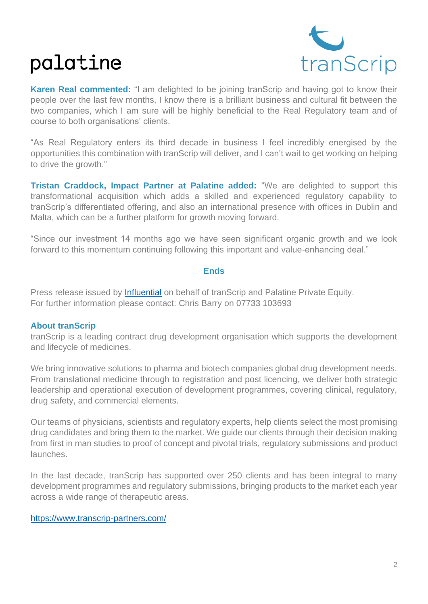# palatine



**Karen Real commented:** "I am delighted to be joining tranScrip and having got to know their people over the last few months, I know there is a brilliant business and cultural fit between the two companies, which I am sure will be highly beneficial to the Real Regulatory team and of course to both organisations' clients.

"As Real Regulatory enters its third decade in business I feel incredibly energised by the opportunities this combination with tranScrip will deliver, and I can't wait to get working on helping to drive the growth."

**Tristan Craddock, Impact Partner at Palatine added:** "We are delighted to support this transformational acquisition which adds a skilled and experienced regulatory capability to tranScrip's differentiated offering, and also an international presence with offices in Dublin and Malta, which can be a further platform for growth moving forward.

"Since our investment 14 months ago we have seen significant organic growth and we look forward to this momentum continuing following this important and value-enhancing deal."

#### **Ends**

Press release issued by [Influential](https://www.thisisinfluential.com/) on behalf of tranScrip and Palatine Private Equity. For further information please contact: Chris Barry on 07733 103693

#### **About tranScrip**

tranScrip is a leading contract drug development organisation which supports the development and lifecycle of medicines.

We bring innovative solutions to pharma and biotech companies global drug development needs. From translational medicine through to registration and post licencing, we deliver both strategic leadership and operational execution of development programmes, covering clinical, regulatory, drug safety, and commercial elements.

Our teams of physicians, scientists and regulatory experts, help clients select the most promising drug candidates and bring them to the market. We guide our clients through their decision making from first in man studies to proof of concept and pivotal trials, regulatory submissions and product launches.

In the last decade, tranScrip has supported over 250 clients and has been integral to many development programmes and regulatory submissions, bringing products to the market each year across a wide range of therapeutic areas.

#### <https://www.transcrip-partners.com/>